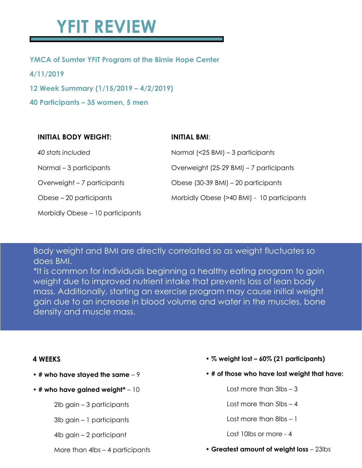# **YFIT REVIEW**

## **YMCA of Sumter YFIT Program at the Birnie Hope Center**

**4/11/2019**

**12 Week Summary (1/15/2019 – 4/2/2019)**

**40 Participants – 35 women, 5 men**

| <b>INITIAL BODY WEIGHT:</b>      | <b>INITIAL BMI:</b>                        |
|----------------------------------|--------------------------------------------|
| 40 stats included                | Normal $(25 \text{ BMI}) – 3 participants$ |
| Normal $-3$ participants         | Overweight (25-29 BMI) – 7 participants    |
| Overweight – 7 participants      | Obese (30-39 BMI) – 20 participants        |
| Obese – 20 participants          | Morbidly Obese (>40 BMI) - 10 participants |
| Morbidly Obese - 10 participants |                                            |

Body weight and BMI are directly correlated so as weight fluctuates so does BMI.

\*It is common for individuals beginning a healthy eating program to gain weight due to improved nutrient intake that prevents loss of lean body mass. Additionally, starting an exercise program may cause initial weight gain due to an increase in blood volume and water in the muscles, bone density and muscle mass.

### **4 WEEKS**

- **# who have stayed the same** 9
- **# who have gained weight\*** 10

2lb gain – 3 participants

3lb gain – 1 participants

4lb gain – 2 participant

More than 4lbs – 4 participants

- **% weight lost – 60% (21 participants)**
- **• # of those who have lost weight that have:**
	- Lost more than 3lbs 3
	- Lost more than 5lbs 4
	- Lost more than 8lbs 1
	- Lost 10lbs or more 4
- **Greatest amount of weight loss** 23lbs